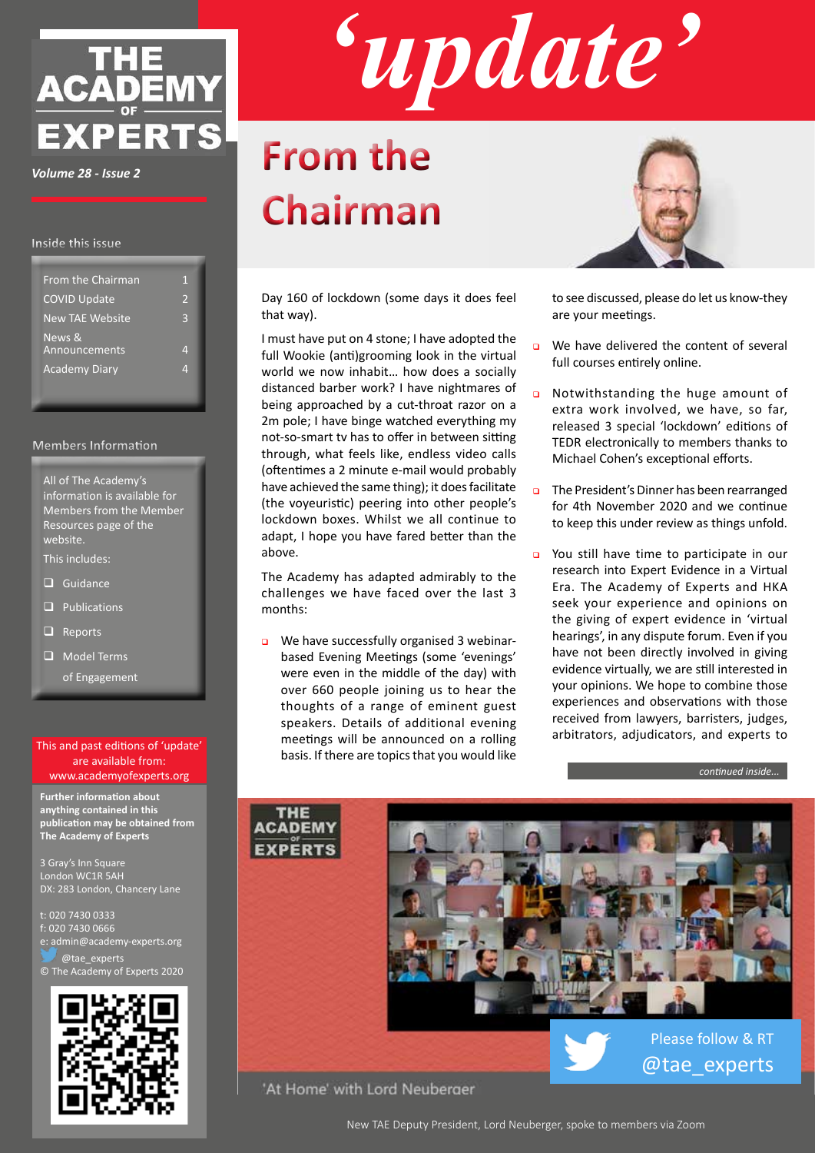

*Volume 28 - Issue 2*

#### **Inside this issue**

| <b>From the Chairman</b> | 1                        |
|--------------------------|--------------------------|
| <b>COVID Update</b>      | $\overline{\phantom{a}}$ |
| <b>New TAE Website</b>   | 3                        |
| News &<br>Announcements  | 4                        |
| <b>Academy Diary</b>     | И                        |
|                          |                          |

#### **Members Information**

All of The Academy's information is available for Members from the Member Resources page of the website.

This includes:

- $\Box$  Guidance
- $\Box$  Publications
- $\Box$  Reports
- $\Box$  Model Terms
	- of Engagement

#### This and past editions of 'update' are available from: www.academyofexperts.org

**Further information about anything contained in this publication may be obtained from The Academy of Experts**

3 Gray's Inn Square London WC1R 5AH DX: 283 London, Chancery Lane

t: 020 7430 0333 f: 020 7430 0666 e: admin@academy-experts.org @tae\_experts

© The Academy of Experts 2020





# **From the Chairman**

Day 160 of lockdown (some days it does feel that way).

I must have put on 4 stone; I have adopted the full Wookie (anti)grooming look in the virtual world we now inhabit… how does a socially distanced barber work? I have nightmares of being approached by a cut-throat razor on a 2m pole; I have binge watched everything my not-so-smart tv has to offer in between sitting through, what feels like, endless video calls (oftentimes a 2 minute e-mail would probably have achieved the same thing); it does facilitate (the voyeuristic) peering into other people's lockdown boxes. Whilst we all continue to adapt, I hope you have fared better than the above.

The Academy has adapted admirably to the challenges we have faced over the last 3 months:

We have successfully organised 3 webinarbased Evening Meetings (some 'evenings' were even in the middle of the day) with over 660 people joining us to hear the thoughts of a range of eminent guest speakers. Details of additional evening meetings will be announced on a rolling basis. If there are topics that you would like



to see discussed, please do let us know-they are your meetings.

- $\Box$  We have delivered the content of several full courses entirely online.
- o Notwithstanding the huge amount of extra work involved, we have, so far, released 3 special 'lockdown' editions of TEDR electronically to members thanks to Michael Cohen's exceptional efforts.
- The President's Dinner has been rearranged for 4th November 2020 and we continue to keep this under review as things unfold.
- You still have time to participate in our research into Expert Evidence in a Virtual Era. The Academy of Experts and HKA seek your experience and opinions on the giving of expert evidence in 'virtual hearings', in any dispute forum. Even if you have not been directly involved in giving evidence virtually, we are still interested in your opinions. We hope to combine those experiences and observations with those received from lawyers, barristers, judges, arbitrators, adjudicators, and experts to

*continued inside...*



'At Home' with Lord Neuberger

New TAE Deputy President, Lord Neuberger, spoke to members via Zoom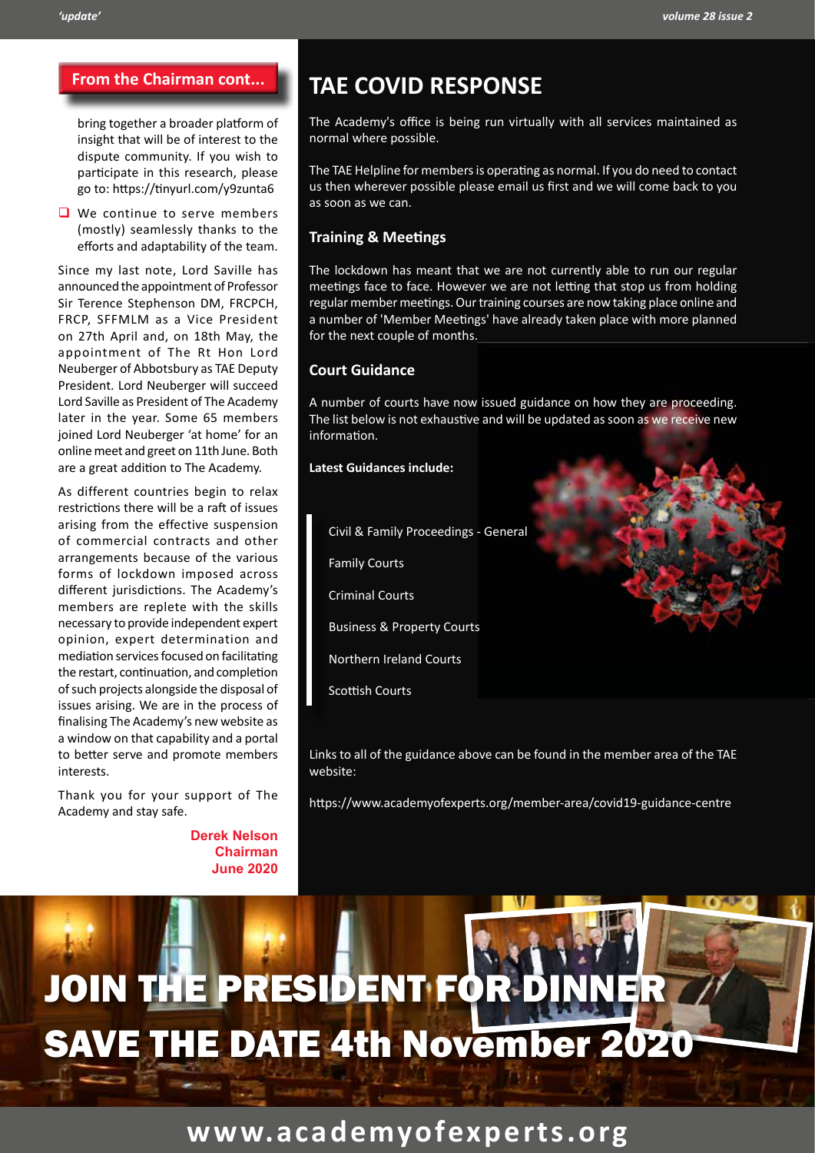bring together a broader platform of insight that will be of interest to the dispute community. If you wish to participate in this research, please go to: https://tinyurl.com/y9zunta6

We continue to serve members (mostly) seamlessly thanks to the efforts and adaptability of the team.

Since my last note, Lord Saville has announced the appointment of Professor Sir Terence Stephenson DM, FRCPCH, FRCP, SFFMLM as a Vice President on 27th April and, on 18th May, the appointment of The Rt Hon Lord Neuberger of Abbotsbury as TAE Deputy President. Lord Neuberger will succeed Lord Saville as President of The Academy later in the year. Some 65 members joined Lord Neuberger 'at home' for an online meet and greet on 11th June. Both are a great addition to The Academy.

As different countries begin to relax restrictions there will be a raft of issues arising from the effective suspension of commercial contracts and other arrangements because of the various forms of lockdown imposed across different jurisdictions. The Academy's members are replete with the skills necessary to provide independent expert opinion, expert determination and mediation services focused on facilitating the restart, continuation, and completion of such projects alongside the disposal of issues arising. We are in the process of finalising The Academy's new website as a window on that capability and a portal to better serve and promote members interests.

Thank you for your support of The Academy and stay safe.

> **Derek Nelson Chairman June 2020**

## **From the Chairman cont... TAE COVID RESPONSE**

The Academy's office is being run virtually with all services maintained as normal where possible.

The TAE Helpline for members is operating as normal. If you do need to contact us then wherever possible please email us first and we will come back to you as soon as we can.

#### **Training & Meetings**

The lockdown has meant that we are not currently able to run our regular meetings face to face. However we are not letting that stop us from holding regular member meetings. Our training courses are now taking place online and a number of 'Member Meetings' have already taken place with more planned for the next couple of months.

#### **Court Guidance**

A number of courts have now issued guidance on how they are proceeding. The list below is not exhaustive and will be updated as soon as we receive new information.

**Latest Guidances include:**

Civil & Family Proceedings - General

Family Courts

Criminal Courts

Business & Property Courts

Northern Ireland Courts

Scottish Courts

Links to all of the guidance above can be found in the member area of the TAE website:

https://www.academyofexperts.org/member-area/covid19-guidance-centre

# JOIN THE PRESIDENT FOR D SAVE THE DATE 4th November 2020

## **www.academyofexperts.org**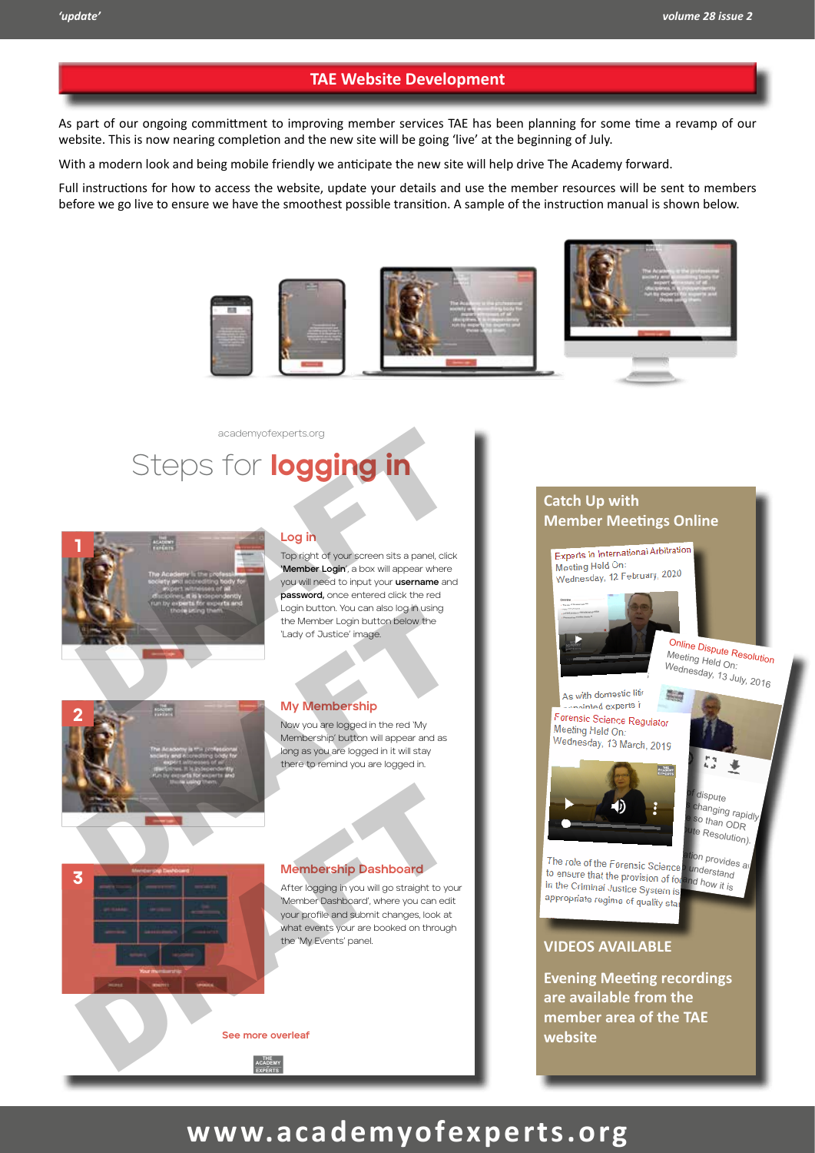#### **TAE Website Development**

As part of our ongoing committment to improving member services TAE has been planning for some time a revamp of our website. This is now nearing completion and the new site will be going 'live' at the beginning of July.

With a modern look and being mobile friendly we anticipate the new site will help drive The Academy forward.

Full instructions for how to access the website, update your details and use the member resources will be sent to members before we go live to ensure we have the smoothest possible transition. A sample of the instruction manual is shown below.



## Steps for logging in academyofexperts.org



#### **Log in**

you will need to input your **username** and password, once entered click the red EVENING Top right of your screen sits a panel, click **'Member Login**', a box will appear where Login button. You can also log in using the Member Login button below the 'Lady of Justice' image.

> Evening Meeting Video Gallery

Experts' Liabilities -June '14 plementing

R Jackson eforms -



3

#### **My Membership**

Now you are logged in the red 'My Membership' button will appear and as long as you are logged in it will stay E there to remind you are logged in.

## **Membership Dashboard**

After logging in you will go straight to your Arter logging in you will go straight to you<br>'Member Dashboard', where you can edit 1 5 your profile and submit changes, look at what events your are booked on through<br>the 'My Events' panel the 'My Events' panel. Membership Dashboard<br>
After logging in you will go straight to you<br>
Member Dashboard<br>
Member Dashboard<br>
Wermber Dashboard<br>
when the and submit changes, look at<br>
the My Events panel.<br>
See more overleaf

**See more overleaf**

**THE ACADEMY EXPERTS OF**

#### **Catch Up with Member Meetings Online**



Jackson Reforms from a

## **www.academyofexperts.org**

2014